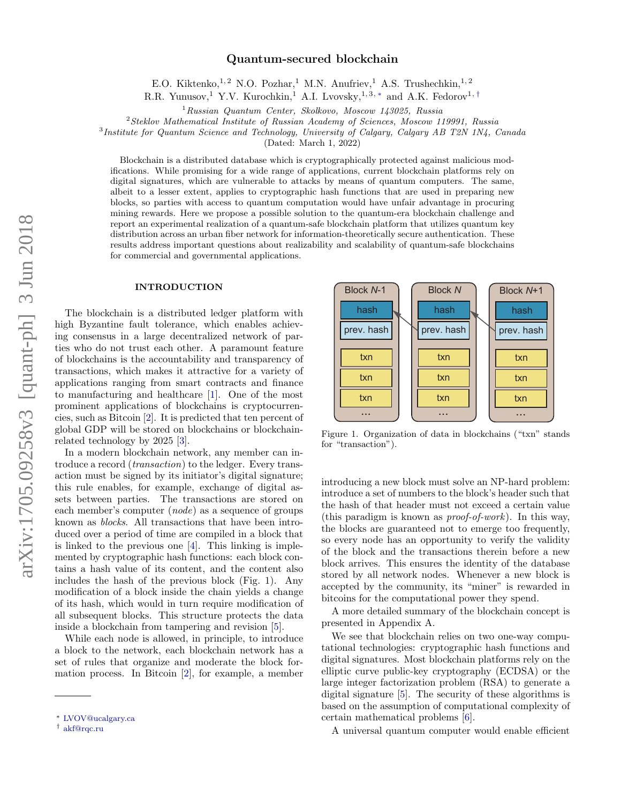# Quantum-secured blockchain

E.O. Kiktenko,<sup>1, 2</sup> N.O. Pozhar,<sup>1</sup> M.N. Anufriev,<sup>1</sup> A.S. Trushechkin,<sup>1, 2</sup>

R.R. Yunusov,<sup>1</sup> Y.V. Kurochkin,<sup>1</sup> A.I. Lvovsky,<sup>1,3,\*</sup> and A.K. Fedorov<sup>1,[†](#page-0-1)</sup>

 $1$ Russian Quantum Center, Skolkovo, Moscow 143025, Russia

 $2$ Steklov Mathematical Institute of Russian Academy of Sciences, Moscow 119991, Russia

<sup>3</sup>Institute for Quantum Science and Technology, University of Calgary, Calgary AB T2N 1N4, Canada

(Dated: March 1, 2022)

Blockchain is a distributed database which is cryptographically protected against malicious modifications. While promising for a wide range of applications, current blockchain platforms rely on digital signatures, which are vulnerable to attacks by means of quantum computers. The same, albeit to a lesser extent, applies to cryptographic hash functions that are used in preparing new blocks, so parties with access to quantum computation would have unfair advantage in procuring mining rewards. Here we propose a possible solution to the quantum-era blockchain challenge and report an experimental realization of a quantum-safe blockchain platform that utilizes quantum key distribution across an urban fiber network for information-theoretically secure authentication. These results address important questions about realizability and scalability of quantum-safe blockchains for commercial and governmental applications.

#### INTRODUCTION

The blockchain is a distributed ledger platform with high Byzantine fault tolerance, which enables achieving consensus in a large decentralized network of parties who do not trust each other. A paramount feature of blockchains is the accountability and transparency of transactions, which makes it attractive for a variety of applications ranging from smart contracts and finance to manufacturing and healthcare [\[1\]](#page-5-0). One of the most prominent applications of blockchains is cryptocurrencies, such as Bitcoin [\[2\]](#page-5-1). It is predicted that ten percent of global GDP will be stored on blockchains or blockchainrelated technology by 2025 [\[3\]](#page-5-2).

In a modern blockchain network, any member can introduce a record *(transaction)* to the ledger. Every transaction must be signed by its initiator's digital signature; this rule enables, for example, exchange of digital assets between parties. The transactions are stored on each member's computer (node) as a sequence of groups known as blocks. All transactions that have been introduced over a period of time are compiled in a block that is linked to the previous one [\[4\]](#page-5-3). This linking is implemented by cryptographic hash functions: each block contains a hash value of its content, and the content also includes the hash of the previous block (Fig. 1). Any modification of a block inside the chain yields a change of its hash, which would in turn require modification of all subsequent blocks. This structure protects the data inside a blockchain from tampering and revision [\[5\]](#page-5-4).

While each node is allowed, in principle, to introduce a block to the network, each blockchain network has a set of rules that organize and moderate the block formation process. In Bitcoin [\[2\]](#page-5-1), for example, a member



Figure 1. Organization of data in blockchains ("txn" stands for "transaction").

introducing a new block must solve an NP-hard problem: introduce a set of numbers to the block's header such that the hash of that header must not exceed a certain value (this paradigm is known as *proof-of-work*). In this way, the blocks are guaranteed not to emerge too frequently, so every node has an opportunity to verify the validity of the block and the transactions therein before a new block arrives. This ensures the identity of the database stored by all network nodes. Whenever a new block is accepted by the community, its "miner" is rewarded in bitcoins for the computational power they spend.

A more detailed summary of the blockchain concept is presented in Appendix A.

We see that blockchain relies on two one-way computational technologies: cryptographic hash functions and digital signatures. Most blockchain platforms rely on the elliptic curve public-key cryptography (ECDSA) or the large integer factorization problem (RSA) to generate a digital signature [\[5\]](#page-5-4). The security of these algorithms is based on the assumption of computational complexity of certain mathematical problems [\[6\]](#page-5-5).

A universal quantum computer would enable efficient

<span id="page-0-0"></span><sup>∗</sup> [LVOV@ucalgary.ca](mailto:LVOV@ucalgary.ca)

<span id="page-0-1"></span><sup>†</sup> [akf@rqc.ru](mailto:akf@rqc.ru)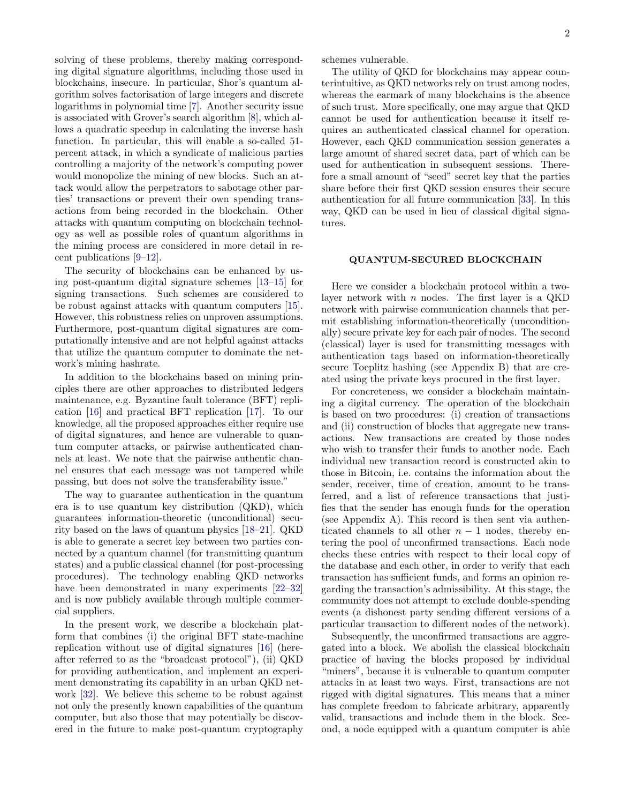solving of these problems, thereby making corresponding digital signature algorithms, including those used in blockchains, insecure. In particular, Shor's quantum algorithm solves factorisation of large integers and discrete logarithms in polynomial time [\[7\]](#page-5-6). Another security issue is associated with Grover's search algorithm [\[8\]](#page-5-7), which allows a quadratic speedup in calculating the inverse hash function. In particular, this will enable a so-called 51 percent attack, in which a syndicate of malicious parties controlling a majority of the network's computing power would monopolize the mining of new blocks. Such an attack would allow the perpetrators to sabotage other parties' transactions or prevent their own spending transactions from being recorded in the blockchain. Other attacks with quantum computing on blockchain technology as well as possible roles of quantum algorithms in the mining process are considered in more detail in recent publications [\[9–](#page-5-8)[12\]](#page-5-9).

The security of blockchains can be enhanced by using post-quantum digital signature schemes [\[13–](#page-5-10)[15\]](#page-5-11) for signing transactions. Such schemes are considered to be robust against attacks with quantum computers [\[15\]](#page-5-11). However, this robustness relies on unproven assumptions. Furthermore, post-quantum digital signatures are computationally intensive and are not helpful against attacks that utilize the quantum computer to dominate the network's mining hashrate.

In addition to the blockchains based on mining principles there are other approaches to distributed ledgers maintenance, e.g. Byzantine fault tolerance (BFT) replication [\[16\]](#page-5-12) and practical BFT replication [\[17\]](#page-5-13). To our knowledge, all the proposed approaches either require use of digital signatures, and hence are vulnerable to quantum computer attacks, or pairwise authenticated channels at least. We note that the pairwise authentic channel ensures that each message was not tampered while passing, but does not solve the transferability issue."

The way to guarantee authentication in the quantum era is to use quantum key distribution (QKD), which guarantees information-theoretic (unconditional) security based on the laws of quantum physics [\[18–](#page-5-14)[21\]](#page-5-15). QKD is able to generate a secret key between two parties connected by a quantum channel (for transmitting quantum states) and a public classical channel (for post-processing procedures). The technology enabling QKD networks have been demonstrated in many experiments [\[22](#page-5-16)[–32\]](#page-5-17) and is now publicly available through multiple commercial suppliers.

In the present work, we describe a blockchain platform that combines (i) the original BFT state-machine replication without use of digital signatures [\[16\]](#page-5-12) (hereafter referred to as the "broadcast protocol"), (ii) QKD for providing authentication, and implement an experiment demonstrating its capability in an urban QKD network [\[32\]](#page-5-17). We believe this scheme to be robust against not only the presently known capabilities of the quantum computer, but also those that may potentially be discovered in the future to make post-quantum cryptography schemes vulnerable.

The utility of QKD for blockchains may appear counterintuitive, as QKD networks rely on trust among nodes, whereas the earmark of many blockchains is the absence of such trust. More specifically, one may argue that QKD cannot be used for authentication because it itself requires an authenticated classical channel for operation. However, each QKD communication session generates a large amount of shared secret data, part of which can be used for authentication in subsequent sessions. Therefore a small amount of "seed" secret key that the parties share before their first QKD session ensures their secure authentication for all future communication [\[33\]](#page-5-18). In this way, QKD can be used in lieu of classical digital signatures.

#### QUANTUM-SECURED BLOCKCHAIN

Here we consider a blockchain protocol within a twolayer network with  $n$  nodes. The first layer is a QKD network with pairwise communication channels that permit establishing information-theoretically (unconditionally) secure private key for each pair of nodes. The second (classical) layer is used for transmitting messages with authentication tags based on information-theoretically secure Toeplitz hashing (see Appendix B) that are created using the private keys procured in the first layer.

For concreteness, we consider a blockchain maintaining a digital currency. The operation of the blockchain is based on two procedures: (i) creation of transactions and (ii) construction of blocks that aggregate new transactions. New transactions are created by those nodes who wish to transfer their funds to another node. Each individual new transaction record is constructed akin to those in Bitcoin, i.e. contains the information about the sender, receiver, time of creation, amount to be transferred, and a list of reference transactions that justifies that the sender has enough funds for the operation (see Appendix A). This record is then sent via authenticated channels to all other  $n-1$  nodes, thereby entering the pool of unconfirmed transactions. Each node checks these entries with respect to their local copy of the database and each other, in order to verify that each transaction has sufficient funds, and forms an opinion regarding the transaction's admissibility. At this stage, the community does not attempt to exclude double-spending events (a dishonest party sending different versions of a particular transaction to different nodes of the network).

Subsequently, the unconfirmed transactions are aggregated into a block. We abolish the classical blockchain practice of having the blocks proposed by individual "miners", because it is vulnerable to quantum computer attacks in at least two ways. First, transactions are not rigged with digital signatures. This means that a miner has complete freedom to fabricate arbitrary, apparently valid, transactions and include them in the block. Second, a node equipped with a quantum computer is able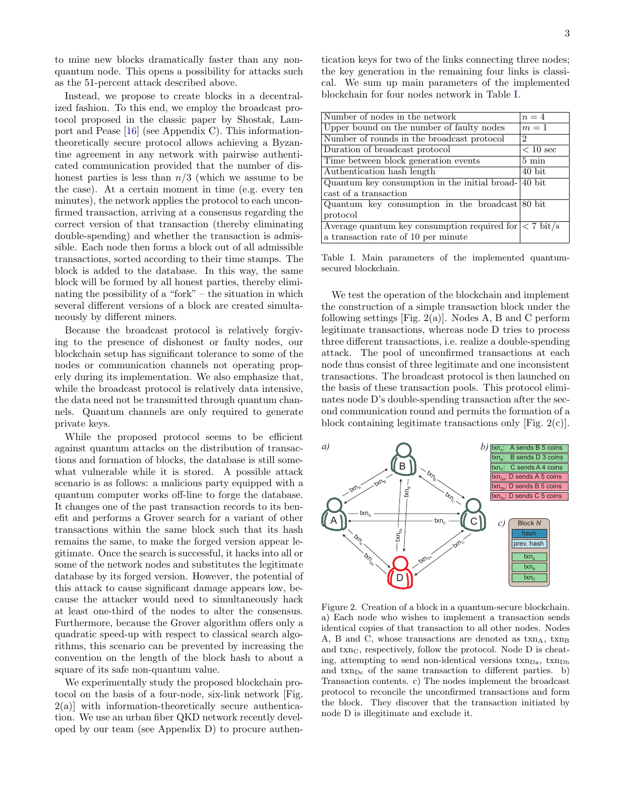to mine new blocks dramatically faster than any nonquantum node. This opens a possibility for attacks such as the 51-percent attack described above.

Instead, we propose to create blocks in a decentralized fashion. To this end, we employ the broadcast protocol proposed in the classic paper by Shostak, Lamport and Pease [\[16\]](#page-5-12) (see Appendix C). This informationtheoretically secure protocol allows achieving a Byzantine agreement in any network with pairwise authenticated communication provided that the number of dishonest parties is less than  $n/3$  (which we assume to be the case). At a certain moment in time (e.g. every ten minutes), the network applies the protocol to each unconfirmed transaction, arriving at a consensus regarding the correct version of that transaction (thereby eliminating double-spending) and whether the transaction is admissible. Each node then forms a block out of all admissible transactions, sorted according to their time stamps. The block is added to the database. In this way, the same block will be formed by all honest parties, thereby eliminating the possibility of a "fork" – the situation in which several different versions of a block are created simultaneously by different miners.

Because the broadcast protocol is relatively forgiving to the presence of dishonest or faulty nodes, our blockchain setup has significant tolerance to some of the nodes or communication channels not operating properly during its implementation. We also emphasize that, while the broadcast protocol is relatively data intensive, the data need not be transmitted through quantum channels. Quantum channels are only required to generate private keys.

While the proposed protocol seems to be efficient against quantum attacks on the distribution of transactions and formation of blocks, the database is still somewhat vulnerable while it is stored. A possible attack scenario is as follows: a malicious party equipped with a quantum computer works off-line to forge the database. It changes one of the past transaction records to its benefit and performs a Grover search for a variant of other transactions within the same block such that its hash remains the same, to make the forged version appear legitimate. Once the search is successful, it hacks into all or some of the network nodes and substitutes the legitimate database by its forged version. However, the potential of this attack to cause significant damage appears low, because the attacker would need to simultaneously hack at least one-third of the nodes to alter the consensus. Furthermore, because the Grover algorithm offers only a quadratic speed-up with respect to classical search algorithms, this scenario can be prevented by increasing the convention on the length of the block hash to about a square of its safe non-quantum value.

We experimentally study the proposed blockchain protocol on the basis of a four-node, six-link network [Fig.  $2(a)$ ] with information-theoretically secure authentication. We use an urban fiber QKD network recently developed by our team (see Appendix D) to procure authentication keys for two of the links connecting three nodes; the key generation in the remaining four links is classical. We sum up main parameters of the implemented blockchain for four nodes network in Table [I.](#page-2-0)

| Number of nodes in the network                              | $n=4$           |
|-------------------------------------------------------------|-----------------|
| Upper bound on the number of faulty nodes                   | $m=1$           |
| Number of rounds in the broadcast protocol                  | 2               |
| Duration of broadcast protocol                              | $< 10$ sec      |
| Time between block generation events                        | $5 \text{ min}$ |
| Authentication hash length                                  | 40 bit          |
| Quantum key consumption in the initial broad-               | $40$ bit        |
| cast of a transaction                                       |                 |
| Quantum key consumption in the broadcast $ 80 \text{ bit} $ |                 |
| protocol                                                    |                 |
| Average quantum key consumption required for $ < 7$ bit/s   |                 |
| a transaction rate of 10 per minute                         |                 |

<span id="page-2-0"></span>Table I. Main parameters of the implemented quantumsecured blockchain.

We test the operation of the blockchain and implement the construction of a simple transaction block under the following settings  $[Fig. 2(a)]$ . Nodes A, B and C perform legitimate transactions, whereas node D tries to process three different transactions, i.e. realize a double-spending attack. The pool of unconfirmed transactions at each node thus consist of three legitimate and one inconsistent transactions. The broadcast protocol is then launched on the basis of these transaction pools. This protocol eliminates node D's double-spending transaction after the second communication round and permits the formation of a block containing legitimate transactions only [Fig. 2(c)].



Figure 2. Creation of a block in a quantum-secure blockchain. a) Each node who wishes to implement a transaction sends identical copies of that transaction to all other nodes. Nodes A, B and C, whose transactions are denoted as  $txn_A$ ,  $txn_B$ and  $\text{tr}_{\mathcal{C}}$ , respectively, follow the protocol. Node D is cheating, attempting to send non-identical versions  $\text{txn}_{\text{Da}}$ ,  $\text{txn}_{\text{Db}}$ and  $\text{tr}_{\text{Dc}}$  of the same transaction to different parties. b) Transaction contents. c) The nodes implement the broadcast protocol to reconcile the unconfirmed transactions and form the block. They discover that the transaction initiated by node D is illegitimate and exclude it.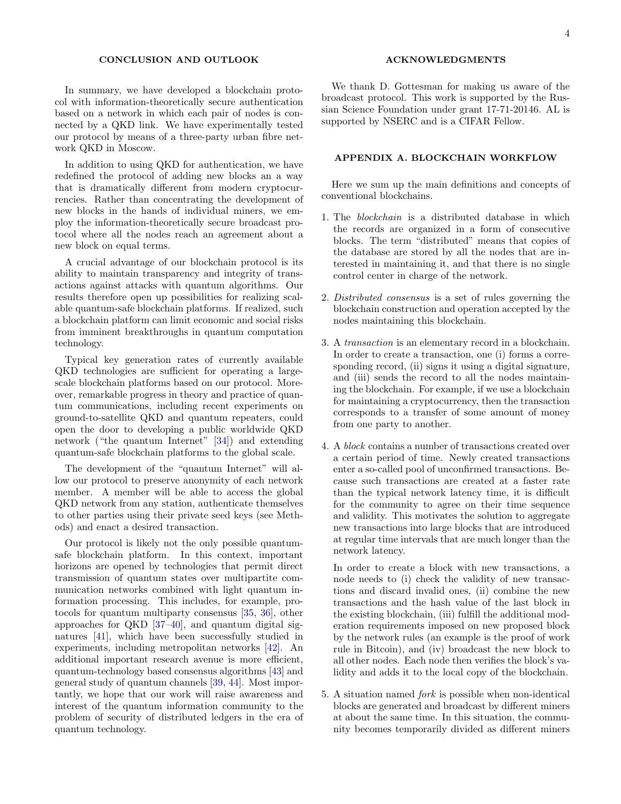## CONCLUSION AND OUTLOOK

In summary, we have developed a blockchain protocol with information-theoretically secure authentication based on a network in which each pair of nodes is connected by a QKD link. We have experimentally tested our protocol by means of a three-party urban fibre network QKD in Moscow.

In addition to using QKD for authentication, we have redefined the protocol of adding new blocks an a way that is dramatically different from modern cryptocurrencies. Rather than concentrating the development of new blocks in the hands of individual miners, we employ the information-theoretically secure broadcast protocol where all the nodes reach an agreement about a new block on equal terms.

A crucial advantage of our blockchain protocol is its ability to maintain transparency and integrity of transactions against attacks with quantum algorithms. Our results therefore open up possibilities for realizing scalable quantum-safe blockchain platforms. If realized, such a blockchain platform can limit economic and social risks from imminent breakthroughs in quantum computation technology.

Typical key generation rates of currently available QKD technologies are sufficient for operating a largescale blockchain platforms based on our protocol. Moreover, remarkable progress in theory and practice of quantum communications, including recent experiments on ground-to-satellite QKD and quantum repeaters, could open the door to developing a public worldwide QKD network ("the quantum Internet" [\[34\]](#page-6-0)) and extending quantum-safe blockchain platforms to the global scale.

The development of the "quantum Internet" will allow our protocol to preserve anonymity of each network member. A member will be able to access the global QKD network from any station, authenticate themselves to other parties using their private seed keys (see Methods) and enact a desired transaction.

Our protocol is likely not the only possible quantumsafe blockchain platform. In this context, important horizons are opened by technologies that permit direct transmission of quantum states over multipartite communication networks combined with light quantum information processing. This includes, for example, protocols for quantum multiparty consensus [\[35,](#page-6-1) [36\]](#page-6-2), other approaches for QKD [\[37–](#page-6-3)[40\]](#page-6-4), and quantum digital signatures [\[41\]](#page-6-5), which have been successfully studied in experiments, including metropolitan networks [\[42\]](#page-6-6). An additional important research avenue is more efficient, quantum-technology based consensus algorithms [\[43\]](#page-6-7) and general study of quantum channels [\[39,](#page-6-8) [44\]](#page-6-9). Most importantly, we hope that our work will raise awareness and interest of the quantum information community to the problem of security of distributed ledgers in the era of quantum technology.

## ACKNOWLEDGMENTS

We thank D. Gottesman for making us aware of the broadcast protocol. This work is supported by the Russian Science Foundation under grant 17-71-20146. AL is supported by NSERC and is a CIFAR Fellow.

#### APPENDIX A. BLOCKCHAIN WORKFLOW

Here we sum up the main definitions and concepts of conventional blockchains.

- 1. The blockchain is a distributed database in which the records are organized in a form of consecutive blocks. The term "distributed" means that copies of the database are stored by all the nodes that are interested in maintaining it, and that there is no single control center in charge of the network.
- 2. Distributed consensus is a set of rules governing the blockchain construction and operation accepted by the nodes maintaining this blockchain.
- 3. A transaction is an elementary record in a blockchain. In order to create a transaction, one (i) forms a corresponding record, (ii) signs it using a digital signature, and (iii) sends the record to all the nodes maintaining the blockchain. For example, if we use a blockchain for maintaining a cryptocurrency, then the transaction corresponds to a transfer of some amount of money from one party to another.
- 4. A block contains a number of transactions created over a certain period of time. Newly created transactions enter a so-called pool of unconfirmed transactions. Because such transactions are created at a faster rate than the typical network latency time, it is difficult for the community to agree on their time sequence and validity. This motivates the solution to aggregate new transactions into large blocks that are introduced at regular time intervals that are much longer than the network latency.

In order to create a block with new transactions, a node needs to (i) check the validity of new transactions and discard invalid ones, (ii) combine the new transactions and the hash value of the last block in the existing blockchain, (iii) fulfill the additional moderation requirements imposed on new proposed block by the network rules (an example is the proof of work rule in Bitcoin), and (iv) broadcast the new block to all other nodes. Each node then verifies the block's validity and adds it to the local copy of the blockchain.

5. A situation named fork is possible when non-identical blocks are generated and broadcast by different miners at about the same time. In this situation, the community becomes temporarily divided as different miners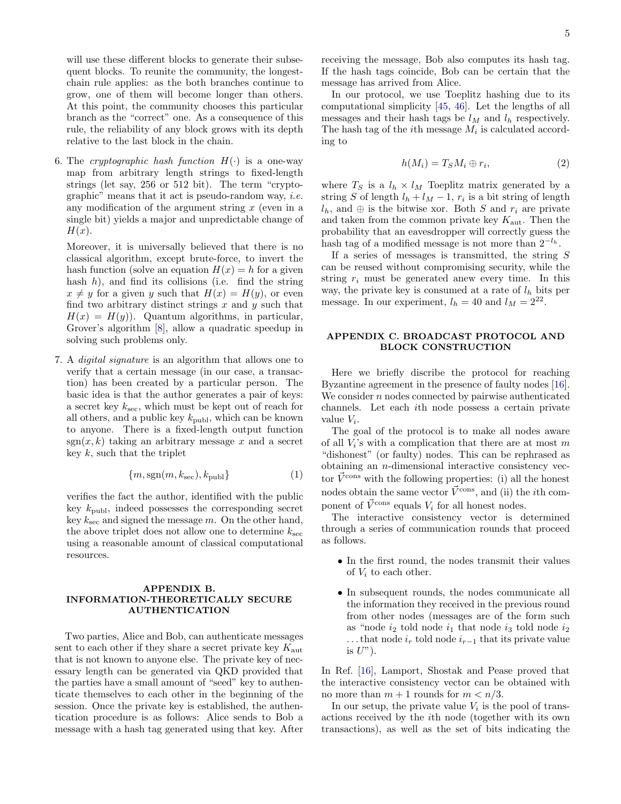will use these different blocks to generate their subsequent blocks. To reunite the community, the longestchain rule applies: as the both branches continue to grow, one of them will become longer than others. At this point, the community chooses this particular branch as the "correct" one. As a consequence of this rule, the reliability of any block grows with its depth relative to the last block in the chain.

6. The *cryptographic hash function*  $H(\cdot)$  is a one-way map from arbitrary length strings to fixed-length strings (let say, 256 or 512 bit). The term "cryptographic" means that it act is pseudo-random way, i.e. any modification of the argument string  $x$  (even in a single bit) yields a major and unpredictable change of  $H(x)$ .

Moreover, it is universally believed that there is no classical algorithm, except brute-force, to invert the hash function (solve an equation  $H(x) = h$  for a given hash  $h$ ), and find its collisions (i.e. find the string  $x \neq y$  for a given y such that  $H(x) = H(y)$ , or even find two arbitrary distinct strings  $x$  and  $y$  such that  $H(x) = H(y)$ . Quantum algorithms, in particular, Grover's algorithm [\[8\]](#page-5-7), allow a quadratic speedup in solving such problems only.

7. A digital signature is an algorithm that allows one to verify that a certain message (in our case, a transaction) has been created by a particular person. The basic idea is that the author generates a pair of keys: a secret key  $k_{\text{sec}}$ , which must be kept out of reach for all others, and a public key  $k_{\text{publ}}$ , which can be known to anyone. There is a fixed-length output function  $sgn(x, k)$  taking an arbitrary message x and a secret key  $k$ , such that the triplet

$$
\{m, \text{sgn}(m, k_{\text{sec}}), k_{\text{publ}}\}\tag{1}
$$

verifies the fact the author, identified with the public key  $k_{\text{publ}}$ , indeed possesses the corresponding secret key  $k_{\text{sec}}$  and signed the message m. On the other hand, the above triplet does not allow one to determine  $k_{\text{sec}}$ using a reasonable amount of classical computational resources.

#### APPENDIX B. INFORMATION-THEORETICALLY SECURE AUTHENTICATION

Two parties, Alice and Bob, can authenticate messages sent to each other if they share a secret private key  $K_{\text{aut}}$ that is not known to anyone else. The private key of necessary length can be generated via QKD provided that the parties have a small amount of "seed" key to authenticate themselves to each other in the beginning of the session. Once the private key is established, the authentication procedure is as follows: Alice sends to Bob a message with a hash tag generated using that key. After

receiving the message, Bob also computes its hash tag. If the hash tags coincide, Bob can be certain that the message has arrived from Alice.

In our protocol, we use Toeplitz hashing due to its computational simplicity [\[45,](#page-6-10) [46\]](#page-6-11). Let the lengths of all messages and their hash tags be  $l_M$  and  $l_h$  respectively. The hash tag of the *i*th message  $M_i$  is calculated according to

$$
h(M_i) = T_S M_i \oplus r_i,\tag{2}
$$

where  $T_S$  is a  $l_h \times l_M$  Toeplitz matrix generated by a string S of length  $l_h + l_M - 1$ ,  $r_i$  is a bit string of length  $l_h$ , and  $\oplus$  is the bitwise xor. Both S and  $r_i$  are private and taken from the common private key  $K_{\text{aut}}$ . Then the probability that an eavesdropper will correctly guess the hash tag of a modified message is not more than  $2^{-l_h}$ .

If a series of messages is transmitted, the string  $S$ can be reused without compromising security, while the string  $r_i$  must be generated anew every time. In this way, the private key is consumed at a rate of  $l_h$  bits per message. In our experiment,  $l_h = 40$  and  $l_M = 2^{22}$ .

# APPENDIX C. BROADCAST PROTOCOL AND BLOCK CONSTRUCTION

Here we briefly discribe the protocol for reaching Byzantine agreement in the presence of faulty nodes [\[16\]](#page-5-12). We consider  $n$  nodes connected by pairwise authenticated channels. Let each ith node possess a certain private value  $V_i$ .

The goal of the protocol is to make all nodes aware of all  $V_i$ 's with a complication that there are at most m "dishonest" (or faulty) nodes. This can be rephrased as obtaining an n-dimensional interactive consistency vector  $\vec{V}^{\text{cons}}$  with the following properties: (i) all the honest nodes obtain the same vector  $\vec{V}^{\text{cons}}$ , and (ii) the *i*th component of  $\vec{V}^{\text{cons}}$  equals  $V_i$  for all honest nodes.

The interactive consistency vector is determined through a series of communication rounds that proceed as follows.

- In the first round, the nodes transmit their values of  $V_i$  to each other.
- In subsequent rounds, the nodes communicate all the information they received in the previous round from other nodes (messages are of the form such as "node  $i_2$  told node  $i_1$  that node  $i_3$  told node  $i_2$ ... that node  $i_r$  told node  $i_{r-1}$  that its private value is  $U$ ").

In Ref. [\[16\]](#page-5-12), Lamport, Shostak and Pease proved that the interactive consistency vector can be obtained with no more than  $m + 1$  rounds for  $m < n/3$ .

In our setup, the private value  $V_i$  is the pool of transactions received by the ith node (together with its own transactions), as well as the set of bits indicating the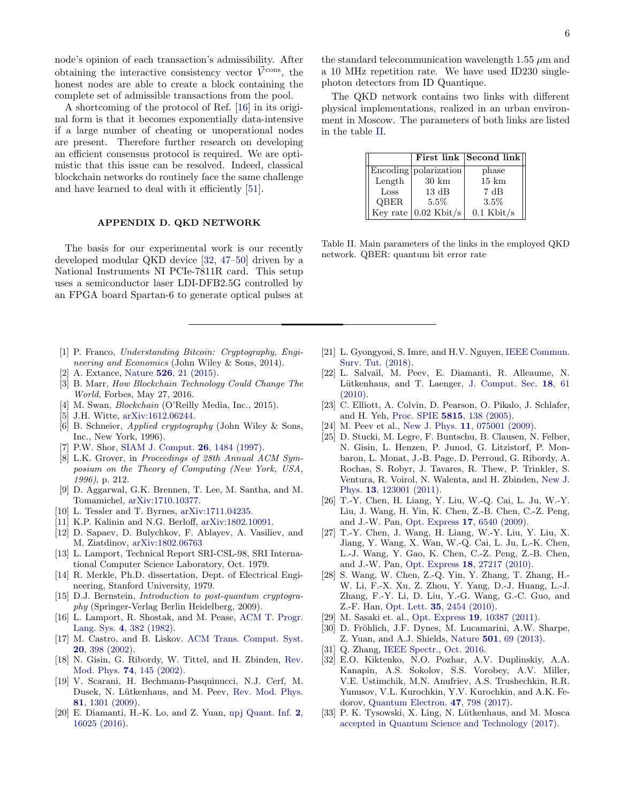node's opinion of each transaction's admissibility. After obtaining the interactive consistency vector  $\vec{V}^{\text{cons}}$ , the honest nodes are able to create a block containing the complete set of admissible transactions from the pool.

A shortcoming of the protocol of Ref. [\[16\]](#page-5-12) in its original form is that it becomes exponentially data-intensive if a large number of cheating or unoperational nodes are present. Therefore further research on developing an efficient consensus protocol is required. We are optimistic that this issue can be resolved. Indeed, classical blockchain networks do routinely face the same challenge and have learned to deal with it efficiently [\[51\]](#page-6-12).

#### APPENDIX D. QKD NETWORK

The basis for our experimental work is our recently developed modular QKD device [\[32,](#page-5-17) [47](#page-6-13)[–50\]](#page-6-14) driven by a National Instruments NI PCIe-7811R card. This setup uses a semiconductor laser LDI-DFB2.5G controlled by an FPGA board Spartan-6 to generate optical pulses at

- <span id="page-5-0"></span>[1] P. Franco, Understanding Bitcoin: Cryptography, Engineering and Economics (John Wiley & Sons, 2014).
- <span id="page-5-1"></span>[2] A. Extance, Nature 526[, 21 \(2015\).](https://dx.doi.org/10.1038/526021a)
- <span id="page-5-2"></span>[3] B. Marr, How Blockchain Technology Could Change The World, Forbes, May 27, 2016.
- <span id="page-5-3"></span>[4] M. Swan, *Blockchain* (O'Reilly Media, Inc., 2015).
- <span id="page-5-4"></span>[5] J.H. Witte, [arXiv:1612.06244.](https://arxiv.org/abs/1612.06244)
- <span id="page-5-5"></span>[6] B. Schneier, Applied cryptography (John Wiley & Sons, Inc., New York, 1996).
- <span id="page-5-6"></span>[7] P.W. Shor, [SIAM J. Comput.](https://dx.doi.org/10.1137/S0097539795293172) 26, 1484 (1997).
- <span id="page-5-7"></span>[8] L.K. Grover, in Proceedings of 28th Annual ACM Symposium on the Theory of Computing (New York, USA, 1996), p. 212.
- <span id="page-5-8"></span>[9] D. Aggarwal, G.K. Brennen, T. Lee, M. Santha, and M. Tomamichel, [arXiv:1710.10377.](https://arxiv.org/abs/1710.10377)
- [10] L. Tessler and T. Byrnes, [arXiv:1711.04235.](https://arxiv.org/abs/1711.04235)
- [11] K.P. Kalinin and N.G. Berloff, [arXiv:1802.10091.](https://arxiv.org/abs/1802.10091)
- <span id="page-5-9"></span>[12] D. Sapaev, D. Bulychkov, F. Ablayev, A. Vasiliev, and M. Ziatdinov, [arXiv:1802.06763](https://arxiv.org/abs/1802.06763)
- <span id="page-5-10"></span>[13] L. Lamport, Technical Report SRI-CSL-98, SRI International Computer Science Laboratory, Oct. 1979.
- [14] R. Merkle, Ph.D. dissertation, Dept. of Electrical Engineering, Stanford University, 1979.
- <span id="page-5-11"></span>[15] D.J. Bernstein, *Introduction to post-quantum cryptogra*phy (Springer-Verlag Berlin Heidelberg, 2009).
- <span id="page-5-12"></span>[16] L. Lamport, R. Shostak, and M. Pease, [ACM T. Progr.](http://dx.doi.org/10.1145/357172.357176) Lang. Sys. 4[, 382 \(1982\).](http://dx.doi.org/10.1145/357172.357176)
- <span id="page-5-13"></span>[17] M. Castro, and B. Liskov. [ACM Trans. Comput. Syst.](http://dx.doi.org/10.1145/571637.571640) 20[, 398 \(2002\).](http://dx.doi.org/10.1145/571637.571640)
- <span id="page-5-14"></span>[18] N. Gisin, G. Ribordy, W. Tittel, and H. Zbinden, [Rev.](http://dx.doi.org/10.1103/RevModPhys.74.145) Mod. Phys. 74[, 145 \(2002\).](http://dx.doi.org/10.1103/RevModPhys.74.145)
- [19] V. Scarani, H. Bechmann-Pasquinucci, N.J. Cerf, M. Dusek, N. Lütkenhaus, and M. Peev, [Rev. Mod. Phys.](http://dx.doi.org/10.1103/RevModPhys.81.1301) 81[, 1301 \(2009\).](http://dx.doi.org/10.1103/RevModPhys.81.1301)
- [20] E. Diamanti, H.-K. Lo, and Z. Yuan, [npj Quant. Inf.](https://dx.doi.org/10.1038/npjqi.2016.25) 2, [16025 \(2016\).](https://dx.doi.org/10.1038/npjqi.2016.25)

the standard telecommunication wavelength 1.55  $\mu$ m and a 10 MHz repetition rate. We have used ID230 singlephoton detectors from ID Quantique.

The QKD network contains two links with different physical implementations, realized in an urban environment in Moscow. The parameters of both links are listed in the table [II.](#page-5-19)

|             |                        | First link Second link |
|-------------|------------------------|------------------------|
|             | Encoding polarization  | phase                  |
| Length      | $30 \text{ km}$        | $15 \;{\rm km}$        |
| Loss        | $13 \text{ dB}$        | 7 dB                   |
| <b>OBER</b> | $5.5\%$                | 3.5%                   |
|             | Key rate $0.02$ Kbit/s | $0.1$ Kbit/s           |

<span id="page-5-19"></span>Table II. Main parameters of the links in the employed QKD network. QBER: quantum bit error rate

- <span id="page-5-15"></span>[21] L. Gyongyosi, S. Imre, and H.V. Nguyen, [IEEE Commun.](https://dx.doi.org/10.1109/COMST.2017.2786748) [Surv. Tut. \(2018\).](https://dx.doi.org/10.1109/COMST.2017.2786748)
- <span id="page-5-16"></span>[22] L. Salvail, M. Peev, E. Diamanti, R. Alleaume, N. Lütkenhaus, and T. Laenger, [J. Comput. Sec.](https://dx.doi.org/10.3233/JCS-2010-0373) 18, 61  $(2010)$ .
- [23] C. Elliott, A. Colvin, D. Pearson, O. Pikalo, J. Schlafer, and H. Yeh, Proc. SPIE 5815[, 138 \(2005\).](https://dx.doi.org/10.1117/12.606489)
- [24] M. Peev et al., New J. Phys. 11[, 075001 \(2009\).](https://dx.doi.org/10.1088/1367-2630/11/7/075001)
- [25] D. Stucki, M. Legre, F. Buntschu, B. Clausen, N. Felber, N. Gisin, L. Henzen, P. Junod, G. Litzistorf, P. Monbaron, L. Monat, J.-B. Page, D. Perroud, G. Ribordy, A. Rochas, S. Robyr, J. Tavares, R. Thew, P. Trinkler, S. Ventura, R. Voirol, N. Walenta, and H. Zbinden, [New J.](https://dx.doi.org/10.1088/1367-2630/13/12/123001) Phys. 13[, 123001 \(2011\).](https://dx.doi.org/10.1088/1367-2630/13/12/123001)
- [26] T.-Y. Chen, H. Liang, Y. Liu, W.-Q. Cai, L. Ju, W.-Y. Liu, J. Wang, H. Yin, K. Chen, Z.-B. Chen, C.-Z. Peng, and J.-W. Pan, Opt. Express 17[, 6540 \(2009\).](https://dx.doi.org/10.1364/OE.17.006540)
- [27] T.-Y. Chen, J. Wang, H. Liang, W.-Y. Liu, Y. Liu, X. Jiang, Y. Wang, X. Wan, W.-Q. Cai, L. Ju, L.-K. Chen, L.-J. Wang, Y. Gao, K. Chen, C.-Z. Peng, Z.-B. Chen, and J.-W. Pan, Opt. Express 18[, 27217 \(2010\).](https://dx.doi.org/10.1364/OE.18.027217)
- [28] S. Wang, W. Chen, Z.-Q. Yin, Y. Zhang, T. Zhang, H.- W. Li, F.-X. Xu, Z. Zhou, Y. Yang, D.-J. Huang, L.-J. Zhang, F.-Y. Li, D. Liu, Y.-G. Wang, G.-C. Guo, and Z.-F. Han, Opt. Lett. 35[, 2454 \(2010\).](https://dx.doi.org/10.1364/OL.35.002454)
- [29] M. Sasaki et. al., Opt. Express 19[, 10387 \(2011\).](https://dx.doi.org/10.1364/OE.19.010387)
- [30] D. Fröhlich, J.F. Dynes, M. Lucamarini, A.W. Sharpe, Z. Yuan, and A.J. Shields, Nature 501[, 69 \(2013\).](https://dx.doi.org/10.1038/nature12493)
- [31] Q. Zhang, [IEEE Spectr., Oct. 2016.](http://spectrum.ieee.org/telecom/security/chinas-2000km-quantum-link-is-almost-complete)
- <span id="page-5-17"></span>[32] E.O. Kiktenko, N.O. Pozhar, A.V. Duplinskiy, A.A. Kanapin, A.S. Sokolov, S.S. Vorobey, A.V. Miller, V.E. Ustimchik, M.N. Anufriev, A.S. Trushechkin, R.R. Yunusov, V.L. Kurochkin, Y.V. Kurochkin, and A.K. Fedorov, [Quantum Electron.](http://dx.doi.org/10.1070/QEL16469) 47, 798 (2017).
- <span id="page-5-18"></span>[33] P. K. Tysowski, X. Ling, N. Lütkenhaus, and M. Mosca [accepted in Quantum Science and Technology \(2017\).](https://doi.org/10.1088/2058-9565/aa9a5d)